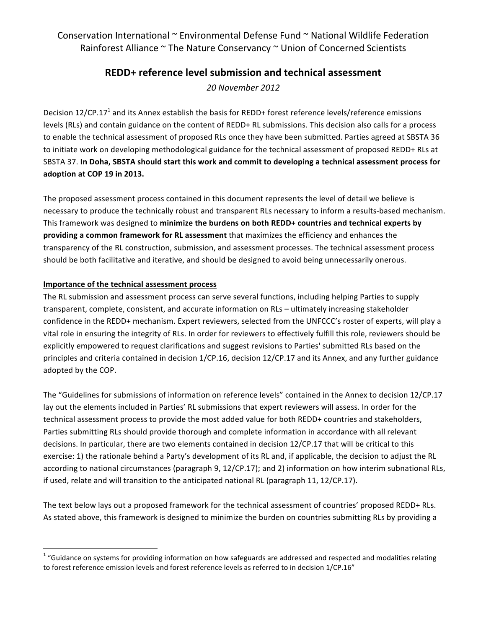Conservation International  $\sim$  Environmental Defense Fund  $\sim$  National Wildlife Federation Rainforest Alliance  $\sim$  The Nature Conservancy  $\sim$  Union of Concerned Scientists

# **REDD+ reference level submission and technical assessment**

*20 November 2012*

Decision 12/CP.17<sup>1</sup> and its Annex establish the basis for REDD+ forest reference levels/reference emissions levels (RLs) and contain guidance on the content of REDD+ RL submissions. This decision also calls for a process to enable the technical assessment of proposed RLs once they have been submitted. Parties agreed at SBSTA 36 to initiate work on developing methodological guidance for the technical assessment of proposed REDD+ RLs at SBSTA 37. In Doha, SBSTA should start this work and commit to developing a technical assessment process for **adoption at COP 19 in 2013.**

The proposed assessment process contained in this document represents the level of detail we believe is necessary to produce the technically robust and transparent RLs necessary to inform a results-based mechanism. This framework was designed to minimize the burdens on both REDD+ countries and technical experts by **providing a common framework for RL assessment** that maximizes the efficiency and enhances the transparency of the RL construction, submission, and assessment processes. The technical assessment process should be both facilitative and iterative, and should be designed to avoid being unnecessarily onerous.

#### **Importance of the technical assessment process**

<u> 1989 - Jan Samuel Barbara, margaret e</u>

The RL submission and assessment process can serve several functions, including helping Parties to supply transparent, complete, consistent, and accurate information on RLs – ultimately increasing stakeholder confidence in the REDD+ mechanism. Expert reviewers, selected from the UNFCCC's roster of experts, will play a vital role in ensuring the integrity of RLs. In order for reviewers to effectively fulfill this role, reviewers should be explicitly empowered to request clarifications and suggest revisions to Parties' submitted RLs based on the principles and criteria contained in decision 1/CP.16, decision 12/CP.17 and its Annex, and any further guidance adopted by the COP.

The "Guidelines for submissions of information on reference levels" contained in the Annex to decision 12/CP.17 lay out the elements included in Parties' RL submissions that expert reviewers will assess. In order for the technical assessment process to provide the most added value for both REDD+ countries and stakeholders, Parties submitting RLs should provide thorough and complete information in accordance with all relevant decisions. In particular, there are two elements contained in decision 12/CP.17 that will be critical to this exercise: 1) the rationale behind a Party's development of its RL and, if applicable, the decision to adjust the RL according to national circumstances (paragraph 9, 12/CP.17); and 2) information on how interim subnational RLs, if used, relate and will transition to the anticipated national RL (paragraph 11, 12/CP.17).

The text below lays out a proposed framework for the technical assessment of countries' proposed REDD+ RLs. As stated above, this framework is designed to minimize the burden on countries submitting RLs by providing a

 $1$  "Guidance on systems for providing information on how safeguards are addressed and respected and modalities relating to forest reference emission levels and forest reference levels as referred to in decision 1/CP.16"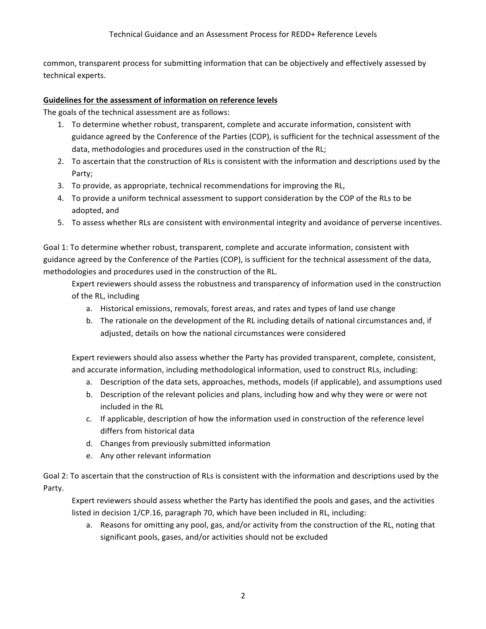common, transparent process for submitting information that can be objectively and effectively assessed by technical experts.

## **Guidelines for the assessment of information on reference levels**

The goals of the technical assessment are as follows:

- 1. To determine whether robust, transparent, complete and accurate information, consistent with guidance agreed by the Conference of the Parties (COP), is sufficient for the technical assessment of the data, methodologies and procedures used in the construction of the RL;
- 2. To ascertain that the construction of RLs is consistent with the information and descriptions used by the Party;
- 3. To provide, as appropriate, technical recommendations for improving the RL,
- 4. To provide a uniform technical assessment to support consideration by the COP of the RLs to be adopted, and
- 5. To assess whether RLs are consistent with environmental integrity and avoidance of perverse incentives.

Goal 1: To determine whether robust, transparent, complete and accurate information, consistent with guidance agreed by the Conference of the Parties (COP), is sufficient for the technical assessment of the data, methodologies and procedures used in the construction of the RL.

Expert reviewers should assess the robustness and transparency of information used in the construction of the RL, including

- a. Historical emissions, removals, forest areas, and rates and types of land use change
- b. The rationale on the development of the RL including details of national circumstances and, if adjusted, details on how the national circumstances were considered

Expert reviewers should also assess whether the Party has provided transparent, complete, consistent, and accurate information, including methodological information, used to construct RLs, including:

- a. Description of the data sets, approaches, methods, models (if applicable), and assumptions used
- b. Description of the relevant policies and plans, including how and why they were or were not included in the RL
- c. If applicable, description of how the information used in construction of the reference level differs from historical data
- d. Changes from previously submitted information
- e. Any other relevant information

Goal 2: To ascertain that the construction of RLs is consistent with the information and descriptions used by the Party.

Expert reviewers should assess whether the Party has identified the pools and gases, and the activities listed in decision 1/CP.16, paragraph 70, which have been included in RL, including:

a. Reasons for omitting any pool, gas, and/or activity from the construction of the RL, noting that significant pools, gases, and/or activities should not be excluded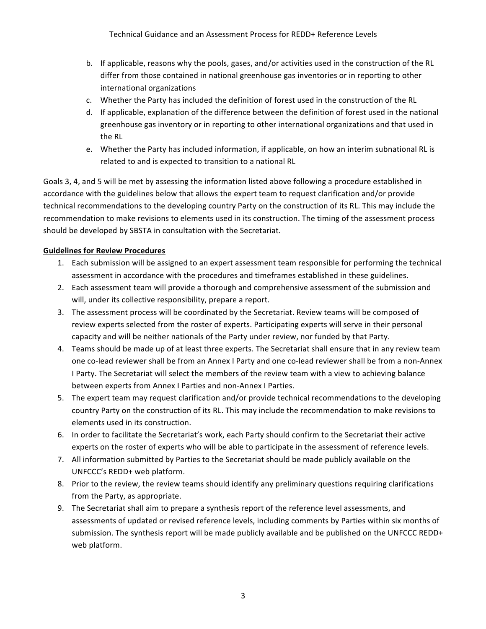- b. If applicable, reasons why the pools, gases, and/or activities used in the construction of the RL differ from those contained in national greenhouse gas inventories or in reporting to other international organizations
- c. Whether the Party has included the definition of forest used in the construction of the RL
- d. If applicable, explanation of the difference between the definition of forest used in the national greenhouse gas inventory or in reporting to other international organizations and that used in the RL
- e. Whether the Party has included information, if applicable, on how an interim subnational RL is related to and is expected to transition to a national RL

Goals 3, 4, and 5 will be met by assessing the information listed above following a procedure established in accordance with the guidelines below that allows the expert team to request clarification and/or provide technical recommendations to the developing country Party on the construction of its RL. This may include the recommendation to make revisions to elements used in its construction. The timing of the assessment process should be developed by SBSTA in consultation with the Secretariat.

## **Guidelines for Review Procedures**

- 1. Each submission will be assigned to an expert assessment team responsible for performing the technical assessment in accordance with the procedures and timeframes established in these guidelines.
- 2. Each assessment team will provide a thorough and comprehensive assessment of the submission and will, under its collective responsibility, prepare a report.
- 3. The assessment process will be coordinated by the Secretariat. Review teams will be composed of review experts selected from the roster of experts. Participating experts will serve in their personal capacity and will be neither nationals of the Party under review, nor funded by that Party.
- 4. Teams should be made up of at least three experts. The Secretariat shall ensure that in any review team one co-lead reviewer shall be from an Annex I Party and one co-lead reviewer shall be from a non-Annex I Party. The Secretariat will select the members of the review team with a view to achieving balance between experts from Annex I Parties and non-Annex I Parties.
- 5. The expert team may request clarification and/or provide technical recommendations to the developing country Party on the construction of its RL. This may include the recommendation to make revisions to elements used in its construction.
- 6. In order to facilitate the Secretariat's work, each Party should confirm to the Secretariat their active experts on the roster of experts who will be able to participate in the assessment of reference levels.
- 7. All information submitted by Parties to the Secretariat should be made publicly available on the UNFCCC's REDD+ web platform.
- 8. Prior to the review, the review teams should identify any preliminary questions requiring clarifications from the Party, as appropriate.
- 9. The Secretariat shall aim to prepare a synthesis report of the reference level assessments, and assessments of updated or revised reference levels, including comments by Parties within six months of submission. The synthesis report will be made publicly available and be published on the UNFCCC REDD+ web platform.